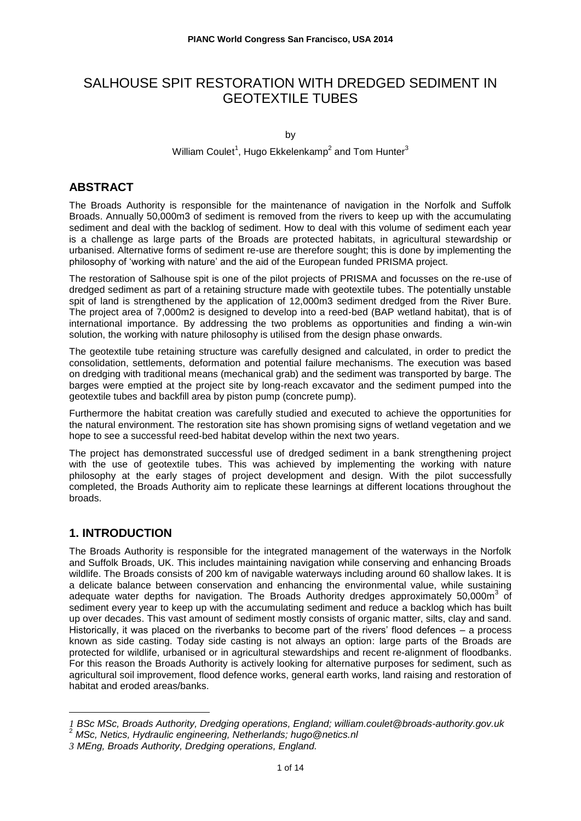# SALHOUSE SPIT RESTORATION WITH DREDGED SEDIMENT IN GEOTEXTILE TUBES

by

### William Coulet<sup>1</sup>, Hugo Ekkelenkamp<sup>2</sup> and Tom Hunter<sup>3</sup>

## **ABSTRACT**

The Broads Authority is responsible for the maintenance of navigation in the Norfolk and Suffolk Broads. Annually 50,000m3 of sediment is removed from the rivers to keep up with the accumulating sediment and deal with the backlog of sediment. How to deal with this volume of sediment each year is a challenge as large parts of the Broads are protected habitats, in agricultural stewardship or urbanised. Alternative forms of sediment re-use are therefore sought; this is done by implementing the philosophy of 'working with nature' and the aid of the European funded PRISMA project.

The restoration of Salhouse spit is one of the pilot projects of PRISMA and focusses on the re-use of dredged sediment as part of a retaining structure made with geotextile tubes. The potentially unstable spit of land is strengthened by the application of 12,000m3 sediment dredged from the River Bure. The project area of 7,000m2 is designed to develop into a reed-bed (BAP wetland habitat), that is of international importance. By addressing the two problems as opportunities and finding a win-win solution, the working with nature philosophy is utilised from the design phase onwards.

The geotextile tube retaining structure was carefully designed and calculated, in order to predict the consolidation, settlements, deformation and potential failure mechanisms. The execution was based on dredging with traditional means (mechanical grab) and the sediment was transported by barge. The barges were emptied at the project site by long-reach excavator and the sediment pumped into the geotextile tubes and backfill area by piston pump (concrete pump).

Furthermore the habitat creation was carefully studied and executed to achieve the opportunities for the natural environment. The restoration site has shown promising signs of wetland vegetation and we hope to see a successful reed-bed habitat develop within the next two years.

The project has demonstrated successful use of dredged sediment in a bank strengthening project with the use of geotextile tubes. This was achieved by implementing the working with nature philosophy at the early stages of project development and design. With the pilot successfully completed, the Broads Authority aim to replicate these learnings at different locations throughout the broads.

## **1. INTRODUCTION**

 $\overline{a}$ 

The Broads Authority is responsible for the integrated management of the waterways in the Norfolk and Suffolk Broads, UK. This includes maintaining navigation while conserving and enhancing Broads wildlife. The Broads consists of 200 km of navigable waterways including around 60 shallow lakes. It is a delicate balance between conservation and enhancing the environmental value, while sustaining adequate water depths for navigation. The Broads Authority dredges approximately 50,000m<sup>3</sup> of sediment every year to keep up with the accumulating sediment and reduce a backlog which has built up over decades. This vast amount of sediment mostly consists of organic matter, silts, clay and sand. Historically, it was placed on the riverbanks to become part of the rivers' flood defences – a process known as side casting. Today side casting is not always an option: large parts of the Broads are protected for wildlife, urbanised or in agricultural stewardships and recent re-alignment of floodbanks. For this reason the Broads Authority is actively looking for alternative purposes for sediment, such as agricultural soil improvement, flood defence works, general earth works, land raising and restoration of habitat and eroded areas/banks.

*<sup>1</sup> BSc MSc, Broads Authority, Dredging operations, England; william.coulet@broads-authority.gov.uk*

<sup>2</sup> *MSc, Netics, Hydraulic engineering, Netherlands; hugo@netics.nl*

*<sup>3</sup> MEng, Broads Authority, Dredging operations, England.*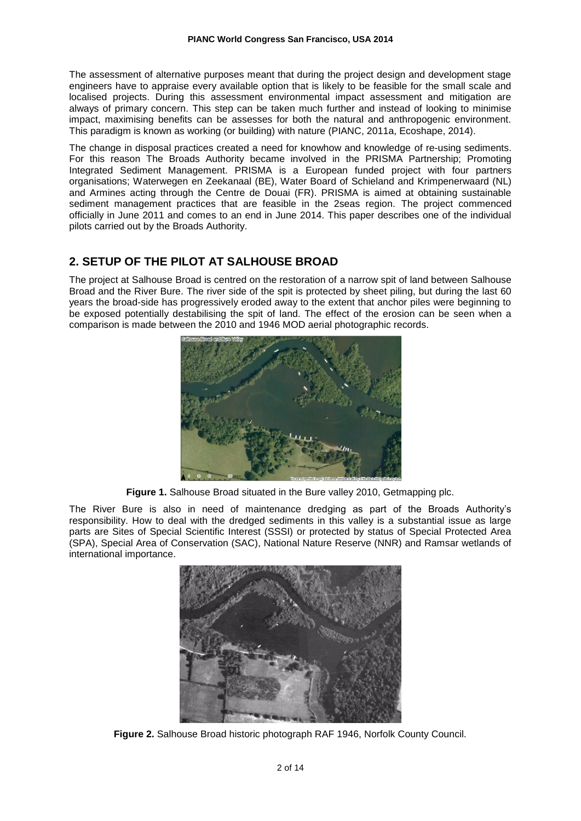The assessment of alternative purposes meant that during the project design and development stage engineers have to appraise every available option that is likely to be feasible for the small scale and localised projects. During this assessment environmental impact assessment and mitigation are always of primary concern. This step can be taken much further and instead of looking to minimise impact, maximising benefits can be assesses for both the natural and anthropogenic environment. This paradigm is known as working (or building) with nature (PIANC, 2011a, Ecoshape, 2014).

The change in disposal practices created a need for knowhow and knowledge of re-using sediments. For this reason The Broads Authority became involved in the PRISMA Partnership; Promoting Integrated Sediment Management. PRISMA is a European funded project with four partners organisations; Waterwegen en Zeekanaal (BE), Water Board of Schieland and Krimpenerwaard (NL) and Armines acting through the Centre de Douai (FR). PRISMA is aimed at obtaining sustainable sediment management practices that are feasible in the 2seas region. The project commenced officially in June 2011 and comes to an end in June 2014. This paper describes one of the individual pilots carried out by the Broads Authority.

## **2. SETUP OF THE PILOT AT SALHOUSE BROAD**

The project at Salhouse Broad is centred on the restoration of a narrow spit of land between Salhouse Broad and the River Bure. The river side of the spit is protected by sheet piling, but during the last 60 years the broad-side has progressively eroded away to the extent that anchor piles were beginning to be exposed potentially destabilising the spit of land. The effect of the erosion can be seen when a comparison is made between the 2010 and 1946 MOD aerial photographic records.



**Figure 1.** Salhouse Broad situated in the Bure valley 2010, Getmapping plc.

The River Bure is also in need of maintenance dredging as part of the Broads Authority's responsibility. How to deal with the dredged sediments in this valley is a substantial issue as large parts are Sites of Special Scientific Interest (SSSI) or protected by status of Special Protected Area (SPA), Special Area of Conservation (SAC), National Nature Reserve (NNR) and Ramsar wetlands of international importance.



**Figure 2.** Salhouse Broad historic photograph RAF 1946, Norfolk County Council.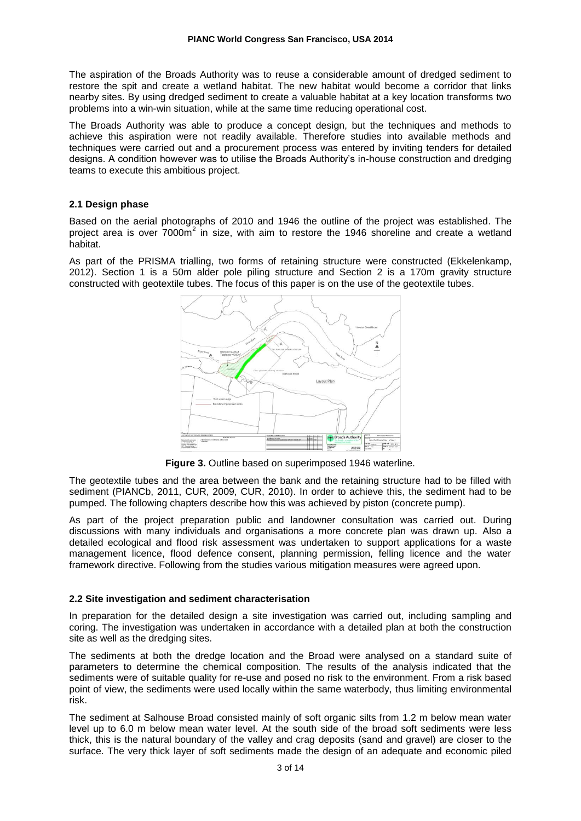The aspiration of the Broads Authority was to reuse a considerable amount of dredged sediment to restore the spit and create a wetland habitat. The new habitat would become a corridor that links nearby sites. By using dredged sediment to create a valuable habitat at a key location transforms two problems into a win-win situation, while at the same time reducing operational cost.

The Broads Authority was able to produce a concept design, but the techniques and methods to achieve this aspiration were not readily available. Therefore studies into available methods and techniques were carried out and a procurement process was entered by inviting tenders for detailed designs. A condition however was to utilise the Broads Authority's in-house construction and dredging teams to execute this ambitious project.

### **2.1 Design phase**

Based on the aerial photographs of 2010 and 1946 the outline of the project was established. The project area is over 7000m<sup>2</sup> in size, with aim to restore the 1946 shoreline and create a wetland habitat.

As part of the PRISMA trialling, two forms of retaining structure were constructed (Ekkelenkamp, 2012). Section 1 is a 50m alder pole piling structure and Section 2 is a 170m gravity structure constructed with geotextile tubes. The focus of this paper is on the use of the geotextile tubes.



**Figure 3.** Outline based on superimposed 1946 waterline.

The geotextile tubes and the area between the bank and the retaining structure had to be filled with sediment (PIANCb, 2011, CUR, 2009, CUR, 2010). In order to achieve this, the sediment had to be pumped. The following chapters describe how this was achieved by piston (concrete pump).

As part of the project preparation public and landowner consultation was carried out. During discussions with many individuals and organisations a more concrete plan was drawn up. Also a detailed ecological and flood risk assessment was undertaken to support applications for a waste management licence, flood defence consent, planning permission, felling licence and the water framework directive. Following from the studies various mitigation measures were agreed upon.

### **2.2 Site investigation and sediment characterisation**

In preparation for the detailed design a site investigation was carried out, including sampling and coring. The investigation was undertaken in accordance with a detailed plan at both the construction site as well as the dredging sites.

The sediments at both the dredge location and the Broad were analysed on a standard suite of parameters to determine the chemical composition. The results of the analysis indicated that the sediments were of suitable quality for re-use and posed no risk to the environment. From a risk based point of view, the sediments were used locally within the same waterbody, thus limiting environmental risk.

The sediment at Salhouse Broad consisted mainly of soft organic silts from 1.2 m below mean water level up to 6.0 m below mean water level. At the south side of the broad soft sediments were less thick, this is the natural boundary of the valley and crag deposits (sand and gravel) are closer to the surface. The very thick layer of soft sediments made the design of an adequate and economic piled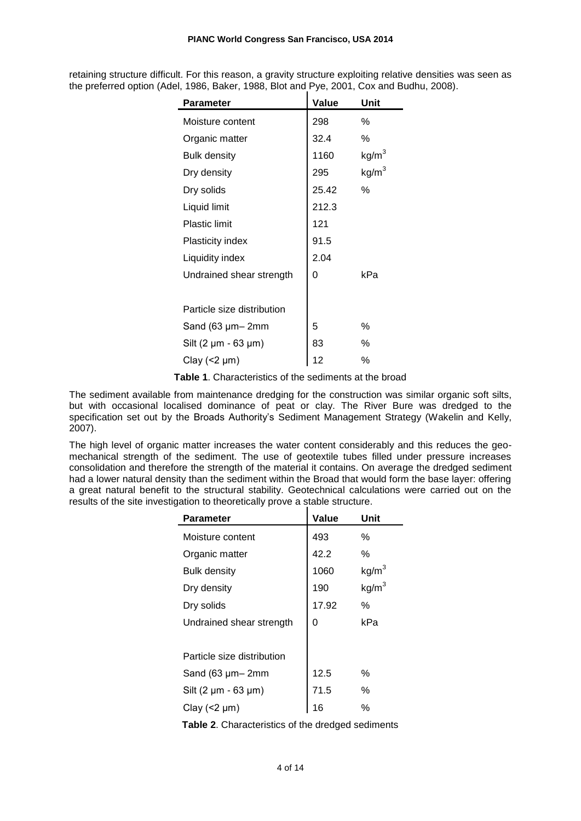retaining structure difficult. For this reason, a gravity structure exploiting relative densities was seen as the preferred option (Adel, 1986, Baker, 1988, Blot and Pye, 2001, Cox and Budhu, 2008).

| <b>Parameter</b>            | Value | Unit              |
|-----------------------------|-------|-------------------|
| Moisture content            | 298   | ℅                 |
| Organic matter              | 32.4  | %                 |
| <b>Bulk density</b>         | 1160  | kg/m <sup>3</sup> |
| Dry density                 | 295   | kg/m <sup>3</sup> |
| Dry solids                  | 25.42 | $\%$              |
| Liquid limit                | 212.3 |                   |
| <b>Plastic limit</b>        | 121   |                   |
| Plasticity index            | 91.5  |                   |
| Liquidity index             | 2.04  |                   |
| Undrained shear strength    | 0     | kPa               |
|                             |       |                   |
| Particle size distribution  |       |                   |
| Sand (63 µm-2mm             | 5     | %                 |
| Silt $(2 \mu m - 63 \mu m)$ | 83    | %                 |
| Clay $($ <2 $\mu$ m $)$     | 12    | %                 |

**Table 1**. Characteristics of the sediments at the broad

The sediment available from maintenance dredging for the construction was similar organic soft silts, but with occasional localised dominance of peat or clay. The River Bure was dredged to the specification set out by the Broads Authority's Sediment Management Strategy (Wakelin and Kelly, 2007).

The high level of organic matter increases the water content considerably and this reduces the geomechanical strength of the sediment. The use of geotextile tubes filled under pressure increases consolidation and therefore the strength of the material it contains. On average the dredged sediment had a lower natural density than the sediment within the Broad that would form the base layer: offering a great natural benefit to the structural stability. Geotechnical calculations were carried out on the results of the site investigation to theoretically prove a stable structure.

| <b>Parameter</b>            | Value | Unit                                   |
|-----------------------------|-------|----------------------------------------|
| Moisture content            | 493   | ℅                                      |
| Organic matter              | 42.2  | ℅                                      |
| <b>Bulk density</b>         | 1060  |                                        |
| Dry density                 | 190   | kg/m <sup>3</sup><br>kg/m <sup>3</sup> |
| Dry solids                  | 17.92 | $\%$                                   |
| Undrained shear strength    | 0     | kPa                                    |
|                             |       |                                        |
| Particle size distribution  |       |                                        |
| Sand $(63 \mu m - 2mm)$     | 12.5  | %                                      |
| Silt $(2 \mu m - 63 \mu m)$ | 71.5  | %                                      |
| Clay $($ <2 $\mu$ m $)$     | 16    | %                                      |
|                             |       |                                        |

**Table 2**. Characteristics of the dredged sediments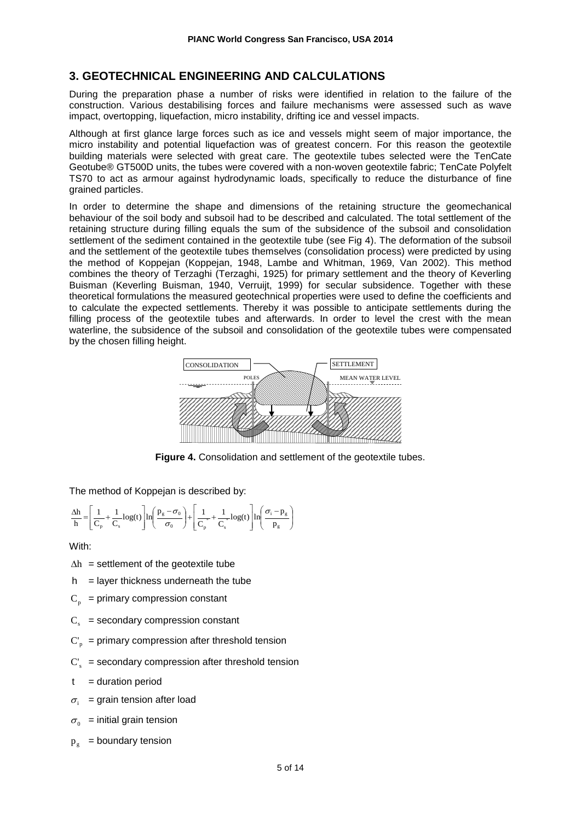## **3. GEOTECHNICAL ENGINEERING AND CALCULATIONS**

During the preparation phase a number of risks were identified in relation to the failure of the construction. Various destabilising forces and failure mechanisms were assessed such as wave impact, overtopping, liquefaction, micro instability, drifting ice and vessel impacts.

Although at first glance large forces such as ice and vessels might seem of major importance, the micro instability and potential liquefaction was of greatest concern. For this reason the geotextile building materials were selected with great care. The geotextile tubes selected were the TenCate Geotube® GT500D units, the tubes were covered with a non-woven geotextile fabric; TenCate Polyfelt TS70 to act as armour against hydrodynamic loads, specifically to reduce the disturbance of fine grained particles.

In order to determine the shape and dimensions of the retaining structure the geomechanical behaviour of the soil body and subsoil had to be described and calculated. The total settlement of the retaining structure during filling equals the sum of the subsidence of the subsoil and consolidation settlement of the sediment contained in the geotextile tube (see Fig 4). The deformation of the subsoil and the settlement of the geotextile tubes themselves (consolidation process) were predicted by using the method of Koppejan (Koppejan, 1948, Lambe and Whitman, 1969, Van 2002). This method combines the theory of Terzaghi (Terzaghi, 1925) for primary settlement and the theory of Keverling Buisman (Keverling Buisman, 1940, Verruijt, 1999) for secular subsidence. Together with these theoretical formulations the measured geotechnical properties were used to define the coefficients and to calculate the expected settlements. Thereby it was possible to anticipate settlements during the filling process of the geotextile tubes and afterwards. In order to level the crest with the mean waterline, the subsidence of the subsoil and consolidation of the geotextile tubes were compensated by the chosen filling height.



**Figure 4.** Consolidation and settlement of the geotextile tubes.

The method of Koppejan is described by:

$$
\frac{\Delta h}{h} \!=\!\! \left[\frac{1}{C_{_p}} \!+\! \frac{1}{C_{_s}} log(t)\right] \!ln\!\! \left(\frac{p_{_g} - \sigma_{_0}}{\sigma_{_0}}\right) \!+\! \left[\frac{1}{C_{_p}} \!\!+\! \frac{1}{C_{_s}} \!+\! log(t)\right] \!ln\!\! \left(\frac{\sigma_{_i} - \!p_{_g}}{p_{_g}}\right)
$$

With:

- $\Delta h$  = settlement of the geotextile tube
- $h$  = layer thickness underneath the tube
- $C_p$  = primary compression constant
- $C_s$  = secondary compression constant
- $C_p$  = primary compression after threshold tension
- $C_s$  = secondary compression after threshold tension
- $t =$  duration period
- $\sigma_i$  = grain tension after load
- $\sigma_{0}$  = initial grain tension
- $p_{\alpha}$  = boundary tension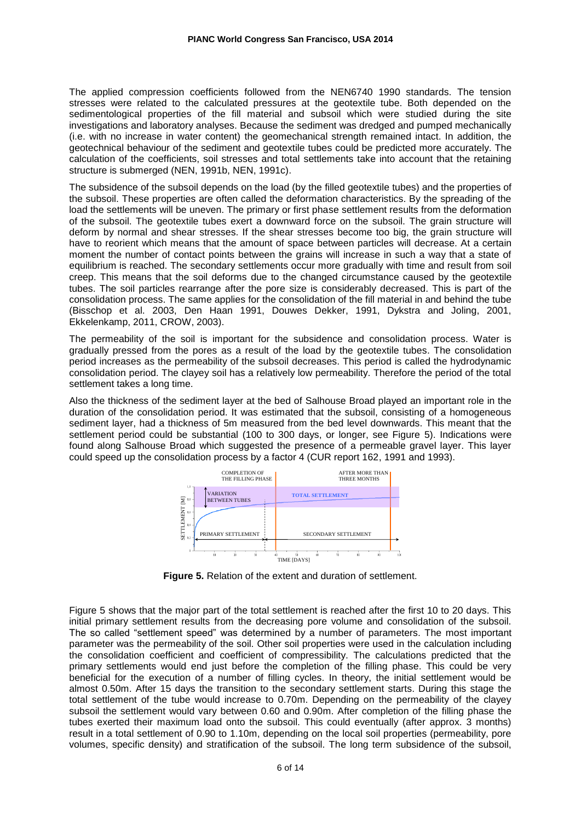The applied compression coefficients followed from the NEN6740 1990 standards. The tension stresses were related to the calculated pressures at the geotextile tube. Both depended on the sedimentological properties of the fill material and subsoil which were studied during the site investigations and laboratory analyses. Because the sediment was dredged and pumped mechanically (i.e. with no increase in water content) the geomechanical strength remained intact. In addition, the geotechnical behaviour of the sediment and geotextile tubes could be predicted more accurately. The calculation of the coefficients, soil stresses and total settlements take into account that the retaining structure is submerged (NEN, 1991b, NEN, 1991c).

The subsidence of the subsoil depends on the load (by the filled geotextile tubes) and the properties of the subsoil. These properties are often called the deformation characteristics. By the spreading of the load the settlements will be uneven. The primary or first phase settlement results from the deformation of the subsoil. The geotextile tubes exert a downward force on the subsoil. The grain structure will deform by normal and shear stresses. If the shear stresses become too big, the grain structure will have to reorient which means that the amount of space between particles will decrease. At a certain moment the number of contact points between the grains will increase in such a way that a state of equilibrium is reached. The secondary settlements occur more gradually with time and result from soil creep. This means that the soil deforms due to the changed circumstance caused by the geotextile tubes. The soil particles rearrange after the pore size is considerably decreased. This is part of the consolidation process. The same applies for the consolidation of the fill material in and behind the tube (Bisschop et al. 2003, Den Haan 1991, Douwes Dekker, 1991, Dykstra and Joling, 2001, Ekkelenkamp, 2011, CROW, 2003).

The permeability of the soil is important for the subsidence and consolidation process. Water is gradually pressed from the pores as a result of the load by the geotextile tubes. The consolidation period increases as the permeability of the subsoil decreases. This period is called the hydrodynamic consolidation period. The clayey soil has a relatively low permeability. Therefore the period of the total settlement takes a long time.

Also the thickness of the sediment layer at the bed of Salhouse Broad played an important role in the duration of the consolidation period. It was estimated that the subsoil, consisting of a homogeneous sediment layer, had a thickness of 5m measured from the bed level downwards. This meant that the settlement period could be substantial (100 to 300 days, or longer, see Figure 5). Indications were found along Salhouse Broad which suggested the presence of a permeable gravel layer. This layer could speed up the consolidation process by a factor 4 (CUR report 162, 1991 and 1993).



**Figure 5.** Relation of the extent and duration of settlement.

Figure 5 shows that the major part of the total settlement is reached after the first 10 to 20 days. This initial primary settlement results from the decreasing pore volume and consolidation of the subsoil. The so called "settlement speed" was determined by a number of parameters. The most important parameter was the permeability of the soil. Other soil properties were used in the calculation including the consolidation coefficient and coefficient of compressibility. The calculations predicted that the primary settlements would end just before the completion of the filling phase. This could be very beneficial for the execution of a number of filling cycles. In theory, the initial settlement would be almost 0.50m. After 15 days the transition to the secondary settlement starts. During this stage the total settlement of the tube would increase to 0.70m. Depending on the permeability of the clayey subsoil the settlement would vary between 0.60 and 0.90m. After completion of the filling phase the tubes exerted their maximum load onto the subsoil. This could eventually (after approx. 3 months) result in a total settlement of 0.90 to 1.10m, depending on the local soil properties (permeability, pore volumes, specific density) and stratification of the subsoil. The long term subsidence of the subsoil,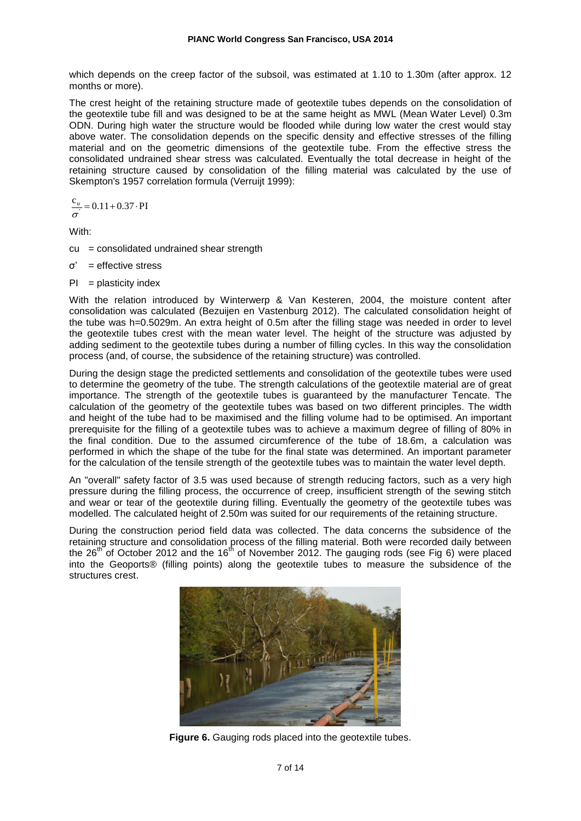which depends on the creep factor of the subsoil, was estimated at 1.10 to 1.30m (after approx. 12 months or more).

The crest height of the retaining structure made of geotextile tubes depends on the consolidation of the geotextile tube fill and was designed to be at the same height as MWL (Mean Water Level) 0.3m ODN. During high water the structure would be flooded while during low water the crest would stay above water. The consolidation depends on the specific density and effective stresses of the filling material and on the geometric dimensions of the geotextile tube. From the effective stress the consolidated undrained shear stress was calculated. Eventually the total decrease in height of the retaining structure caused by consolidation of the filling material was calculated by the use of Skempton's 1957 correlation formula (Verruijt 1999):

$$
\frac{c_{\rm u}}{\sigma} = 0.11 + 0.37 \cdot PI
$$

With:

- $cu =$  consolidated undrained shear strength
- $\sigma' =$  effective stress
- $PI = plasticity index$

With the relation introduced by Winterwerp & Van Kesteren, 2004, the moisture content after consolidation was calculated (Bezuijen en Vastenburg 2012). The calculated consolidation height of the tube was h=0.5029m. An extra height of 0.5m after the filling stage was needed in order to level the geotextile tubes crest with the mean water level. The height of the structure was adjusted by adding sediment to the geotextile tubes during a number of filling cycles. In this way the consolidation process (and, of course, the subsidence of the retaining structure) was controlled.

During the design stage the predicted settlements and consolidation of the geotextile tubes were used to determine the geometry of the tube. The strength calculations of the geotextile material are of great importance. The strength of the geotextile tubes is guaranteed by the manufacturer Tencate. The calculation of the geometry of the geotextile tubes was based on two different principles. The width and height of the tube had to be maximised and the filling volume had to be optimised. An important prerequisite for the filling of a geotextile tubes was to achieve a maximum degree of filling of 80% in the final condition. Due to the assumed circumference of the tube of 18.6m, a calculation was performed in which the shape of the tube for the final state was determined. An important parameter for the calculation of the tensile strength of the geotextile tubes was to maintain the water level depth.

An "overall" safety factor of 3.5 was used because of strength reducing factors, such as a very high pressure during the filling process, the occurrence of creep, insufficient strength of the sewing stitch and wear or tear of the geotextile during filling. Eventually the geometry of the geotextile tubes was modelled. The calculated height of 2.50m was suited for our requirements of the retaining structure.

During the construction period field data was collected. The data concerns the subsidence of the retaining structure and consolidation process of the filling material. Both were recorded daily between the 26<sup>th</sup> of October 2012 and the 16<sup>th</sup> of November 2012. The gauging rods (see Fig 6) were placed into the Geoports® (filling points) along the geotextile tubes to measure the subsidence of the structures crest.



**Figure 6.** Gauging rods placed into the geotextile tubes.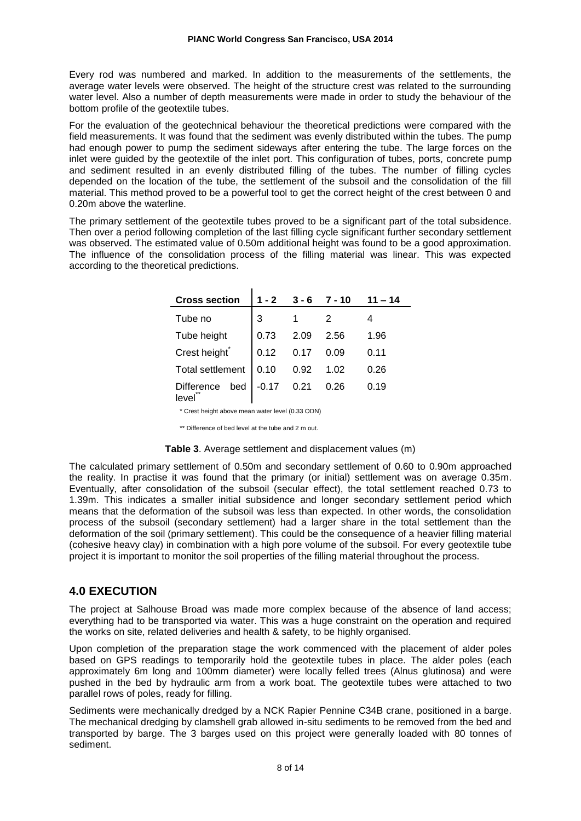Every rod was numbered and marked. In addition to the measurements of the settlements, the average water levels were observed. The height of the structure crest was related to the surrounding water level. Also a number of depth measurements were made in order to study the behaviour of the bottom profile of the geotextile tubes.

For the evaluation of the geotechnical behaviour the theoretical predictions were compared with the field measurements. It was found that the sediment was evenly distributed within the tubes. The pump had enough power to pump the sediment sideways after entering the tube. The large forces on the inlet were guided by the geotextile of the inlet port. This configuration of tubes, ports, concrete pump and sediment resulted in an evenly distributed filling of the tubes. The number of filling cycles depended on the location of the tube, the settlement of the subsoil and the consolidation of the fill material. This method proved to be a powerful tool to get the correct height of the crest between 0 and 0.20m above the waterline.

The primary settlement of the geotextile tubes proved to be a significant part of the total subsidence. Then over a period following completion of the last filling cycle significant further secondary settlement was observed. The estimated value of 0.50m additional height was found to be a good approximation. The influence of the consolidation process of the filling material was linear. This was expected according to the theoretical predictions.

| <b>Cross section</b>                             | $1 - 2$ | $3 - 6$ | 7 - 10 | 11 – 14 |
|--------------------------------------------------|---------|---------|--------|---------|
| Tube no                                          | 3       |         |        |         |
| Tube height                                      | 0.73    | 2.09    | 2.56   | 1.96    |
| Crest height                                     | 0.12    | 0.17    | 0.09   | 0.11    |
| <b>Total settlement</b>                          | 0.10    | 0.92    | 1.02   | 0.26    |
| <b>Difference</b><br>bed<br>level                | $-0.17$ | 0.21    | 0.26   | 0.19    |
| * Crest height above mean water level (0.33 ODN) |         |         |        |         |

\*\* Difference of bed level at the tube and 2 m out.

#### **Table 3**. Average settlement and displacement values (m)

The calculated primary settlement of 0.50m and secondary settlement of 0.60 to 0.90m approached the reality. In practise it was found that the primary (or initial) settlement was on average 0.35m. Eventually, after consolidation of the subsoil (secular effect), the total settlement reached 0.73 to 1.39m. This indicates a smaller initial subsidence and longer secondary settlement period which means that the deformation of the subsoil was less than expected. In other words, the consolidation process of the subsoil (secondary settlement) had a larger share in the total settlement than the deformation of the soil (primary settlement). This could be the consequence of a heavier filling material (cohesive heavy clay) in combination with a high pore volume of the subsoil. For every geotextile tube project it is important to monitor the soil properties of the filling material throughout the process.

### **4.0 EXECUTION**

The project at Salhouse Broad was made more complex because of the absence of land access; everything had to be transported via water. This was a huge constraint on the operation and required the works on site, related deliveries and health & safety, to be highly organised.

Upon completion of the preparation stage the work commenced with the placement of alder poles based on GPS readings to temporarily hold the geotextile tubes in place. The alder poles (each approximately 6m long and 100mm diameter) were locally felled trees (Alnus glutinosa) and were pushed in the bed by hydraulic arm from a work boat. The geotextile tubes were attached to two parallel rows of poles, ready for filling.

Sediments were mechanically dredged by a NCK Rapier Pennine C34B crane, positioned in a barge. The mechanical dredging by clamshell grab allowed in-situ sediments to be removed from the bed and transported by barge. The 3 barges used on this project were generally loaded with 80 tonnes of sediment.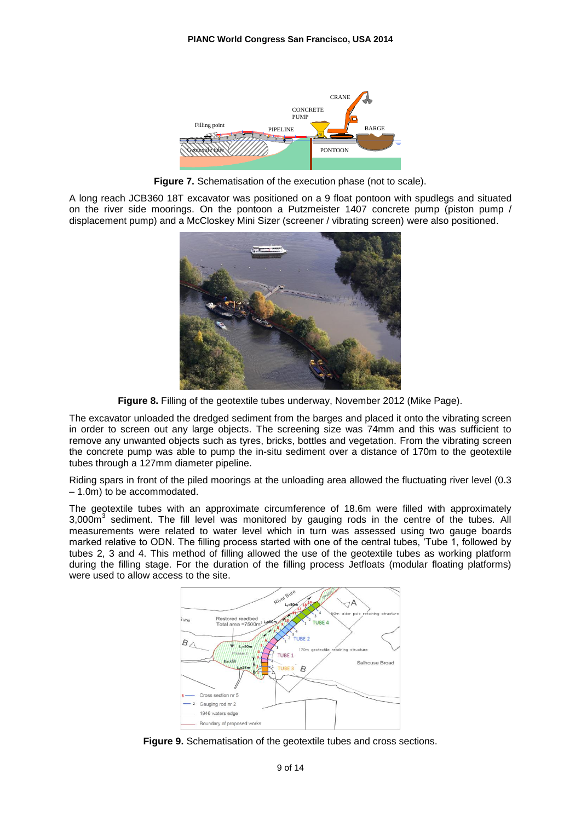

**Figure 7.** Schematisation of the execution phase (not to scale).

A long reach JCB360 18T excavator was positioned on a 9 float pontoon with spudlegs and situated on the river side moorings. On the pontoon a Putzmeister 1407 concrete pump (piston pump / displacement pump) and a McCloskey Mini Sizer (screener / vibrating screen) were also positioned.



**Figure 8.** Filling of the geotextile tubes underway, November 2012 (Mike Page).

The excavator unloaded the dredged sediment from the barges and placed it onto the vibrating screen in order to screen out any large objects. The screening size was 74mm and this was sufficient to remove any unwanted objects such as tyres, bricks, bottles and vegetation. From the vibrating screen the concrete pump was able to pump the in-situ sediment over a distance of 170m to the geotextile tubes through a 127mm diameter pipeline.

Riding spars in front of the piled moorings at the unloading area allowed the fluctuating river level (0.3 – 1.0m) to be accommodated.

The geotextile tubes with an approximate circumference of 18.6m were filled with approximately  $3,000\text{m}^3$  sediment. The fill level was monitored by gauging rods in the centre of the tubes. All measurements were related to water level which in turn was assessed using two gauge boards marked relative to ODN. The filling process started with one of the central tubes, 'Tube 1, followed by tubes 2, 3 and 4. This method of filling allowed the use of the geotextile tubes as working platform during the filling stage. For the duration of the filling process Jetfloats (modular floating platforms) were used to allow access to the site.



**Figure 9.** Schematisation of the geotextile tubes and cross sections.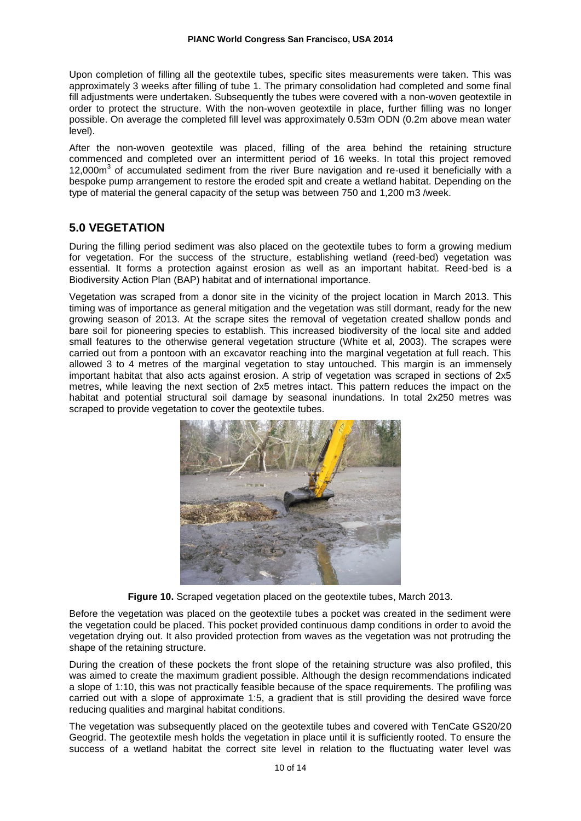Upon completion of filling all the geotextile tubes, specific sites measurements were taken. This was approximately 3 weeks after filling of tube 1. The primary consolidation had completed and some final fill adjustments were undertaken. Subsequently the tubes were covered with a non-woven geotextile in order to protect the structure. With the non-woven geotextile in place, further filling was no longer possible. On average the completed fill level was approximately 0.53m ODN (0.2m above mean water level).

After the non-woven geotextile was placed, filling of the area behind the retaining structure commenced and completed over an intermittent period of 16 weeks. In total this project removed 12,000m<sup>3</sup> of accumulated sediment from the river Bure navigation and re-used it beneficially with a bespoke pump arrangement to restore the eroded spit and create a wetland habitat. Depending on the type of material the general capacity of the setup was between 750 and 1,200 m3 /week.

## **5.0 VEGETATION**

During the filling period sediment was also placed on the geotextile tubes to form a growing medium for vegetation. For the success of the structure, establishing wetland (reed-bed) vegetation was essential. It forms a protection against erosion as well as an important habitat. Reed-bed is a Biodiversity Action Plan (BAP) habitat and of international importance.

Vegetation was scraped from a donor site in the vicinity of the project location in March 2013. This timing was of importance as general mitigation and the vegetation was still dormant, ready for the new growing season of 2013. At the scrape sites the removal of vegetation created shallow ponds and bare soil for pioneering species to establish. This increased biodiversity of the local site and added small features to the otherwise general vegetation structure (White et al, 2003). The scrapes were carried out from a pontoon with an excavator reaching into the marginal vegetation at full reach. This allowed 3 to 4 metres of the marginal vegetation to stay untouched. This margin is an immensely important habitat that also acts against erosion. A strip of vegetation was scraped in sections of 2x5 metres, while leaving the next section of 2x5 metres intact. This pattern reduces the impact on the habitat and potential structural soil damage by seasonal inundations. In total 2x250 metres was scraped to provide vegetation to cover the geotextile tubes.



**Figure 10.** Scraped vegetation placed on the geotextile tubes, March 2013.

Before the vegetation was placed on the geotextile tubes a pocket was created in the sediment were the vegetation could be placed. This pocket provided continuous damp conditions in order to avoid the vegetation drying out. It also provided protection from waves as the vegetation was not protruding the shape of the retaining structure.

During the creation of these pockets the front slope of the retaining structure was also profiled, this was aimed to create the maximum gradient possible. Although the design recommendations indicated a slope of 1:10, this was not practically feasible because of the space requirements. The profiling was carried out with a slope of approximate 1:5, a gradient that is still providing the desired wave force reducing qualities and marginal habitat conditions.

The vegetation was subsequently placed on the geotextile tubes and covered with TenCate GS20/20 Geogrid. The geotextile mesh holds the vegetation in place until it is sufficiently rooted. To ensure the success of a wetland habitat the correct site level in relation to the fluctuating water level was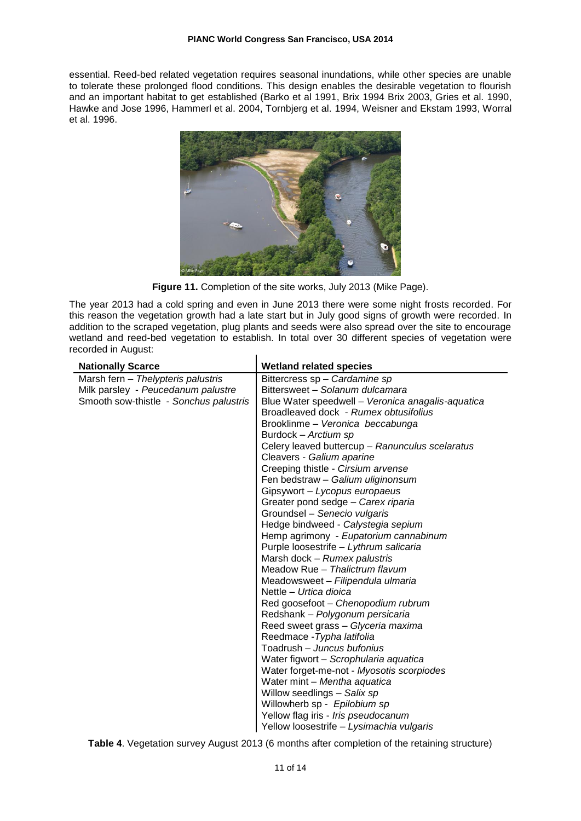essential. Reed-bed related vegetation requires seasonal inundations, while other species are unable to tolerate these prolonged flood conditions. This design enables the desirable vegetation to flourish and an important habitat to get established (Barko et al 1991, Brix 1994 Brix 2003, Gries et al. 1990, Hawke and Jose 1996, Hammerl et al. 2004, Tornbjerg et al. 1994, Weisner and Ekstam 1993, Worral et al. 1996.



**Figure 11.** Completion of the site works, July 2013 (Mike Page).

The year 2013 had a cold spring and even in June 2013 there were some night frosts recorded. For this reason the vegetation growth had a late start but in July good signs of growth were recorded. In addition to the scraped vegetation, plug plants and seeds were also spread over the site to encourage wetland and reed-bed vegetation to establish. In total over 30 different species of vegetation were recorded in August:

| <b>Nationally Scarce</b>               | <b>Wetland related species</b>                    |
|----------------------------------------|---------------------------------------------------|
| Marsh fern - Thelypteris palustris     | Bittercress sp - Cardamine sp                     |
| Milk parsley - Peucedanum palustre     | Bittersweet - Solanum dulcamara                   |
| Smooth sow-thistle - Sonchus palustris | Blue Water speedwell - Veronica anagalis-aquatica |
|                                        | Broadleaved dock - Rumex obtusifolius             |
|                                        | Brooklinme – Veronica beccabunga                  |
|                                        | Burdock – Arctium sp                              |
|                                        | Celery leaved buttercup - Ranunculus scelaratus   |
|                                        | Cleavers - Galium aparine                         |
|                                        | Creeping thistle - Cirsium arvense                |
|                                        | Fen bedstraw - Galium uliginonsum                 |
|                                        | Gipsywort - Lycopus europaeus                     |
|                                        | Greater pond sedge - Carex riparia                |
|                                        | Groundsel - Senecio vulgaris                      |
|                                        | Hedge bindweed - Calystegia sepium                |
|                                        | Hemp agrimony - Eupatorium cannabinum             |
|                                        | Purple loosestrife - Lythrum salicaria            |
|                                        | Marsh dock - Rumex palustris                      |
|                                        | Meadow Rue - Thalictrum flavum                    |
|                                        | Meadowsweet - Filipendula ulmaria                 |
|                                        | Nettle - Urtica dioica                            |
|                                        | Red goosefoot - Chenopodium rubrum                |
|                                        | Redshank - Polygonum persicaria                   |
|                                        | Reed sweet grass - Glyceria maxima                |
|                                        | Reedmace - Typha latifolia                        |
|                                        | Toadrush - Juncus bufonius                        |
|                                        | Water figwort - Scrophularia aquatica             |
|                                        | Water forget-me-not - Myosotis scorpiodes         |
|                                        | Water mint - Mentha aquatica                      |
|                                        | Willow seedlings - Salix sp                       |
|                                        | Willowherb sp - Epilobium sp                      |
|                                        | Yellow flag iris - Iris pseudocanum               |
|                                        | Yellow loosestrife - Lysimachia vulgaris          |

**Table 4**. Vegetation survey August 2013 (6 months after completion of the retaining structure)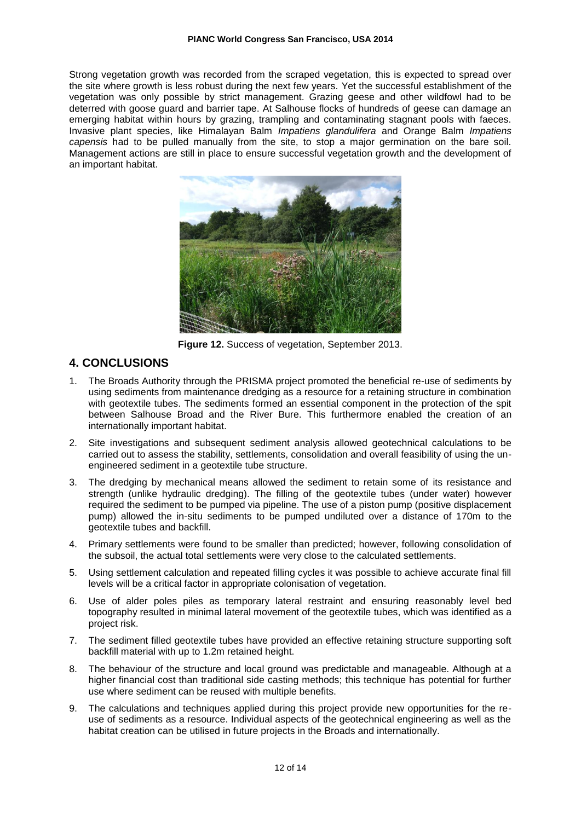Strong vegetation growth was recorded from the scraped vegetation, this is expected to spread over the site where growth is less robust during the next few years. Yet the successful establishment of the vegetation was only possible by strict management. Grazing geese and other wildfowl had to be deterred with goose guard and barrier tape. At Salhouse flocks of hundreds of geese can damage an emerging habitat within hours by grazing, trampling and contaminating stagnant pools with faeces. Invasive plant species, like Himalayan Balm *Impatiens glandulifera* and Orange Balm *Impatiens capensis* had to be pulled manually from the site, to stop a major germination on the bare soil. Management actions are still in place to ensure successful vegetation growth and the development of an important habitat.



**Figure 12.** Success of vegetation, September 2013.

### **4. CONCLUSIONS**

- 1. The Broads Authority through the PRISMA project promoted the beneficial re-use of sediments by using sediments from maintenance dredging as a resource for a retaining structure in combination with geotextile tubes. The sediments formed an essential component in the protection of the spit between Salhouse Broad and the River Bure. This furthermore enabled the creation of an internationally important habitat.
- 2. Site investigations and subsequent sediment analysis allowed geotechnical calculations to be carried out to assess the stability, settlements, consolidation and overall feasibility of using the unengineered sediment in a geotextile tube structure.
- 3. The dredging by mechanical means allowed the sediment to retain some of its resistance and strength (unlike hydraulic dredging). The filling of the geotextile tubes (under water) however required the sediment to be pumped via pipeline. The use of a piston pump (positive displacement pump) allowed the in-situ sediments to be pumped undiluted over a distance of 170m to the geotextile tubes and backfill.
- 4. Primary settlements were found to be smaller than predicted; however, following consolidation of the subsoil, the actual total settlements were very close to the calculated settlements.
- 5. Using settlement calculation and repeated filling cycles it was possible to achieve accurate final fill levels will be a critical factor in appropriate colonisation of vegetation.
- 6. Use of alder poles piles as temporary lateral restraint and ensuring reasonably level bed topography resulted in minimal lateral movement of the geotextile tubes, which was identified as a project risk.
- 7. The sediment filled geotextile tubes have provided an effective retaining structure supporting soft backfill material with up to 1.2m retained height.
- 8. The behaviour of the structure and local ground was predictable and manageable. Although at a higher financial cost than traditional side casting methods; this technique has potential for further use where sediment can be reused with multiple benefits.
- 9. The calculations and techniques applied during this project provide new opportunities for the reuse of sediments as a resource. Individual aspects of the geotechnical engineering as well as the habitat creation can be utilised in future projects in the Broads and internationally.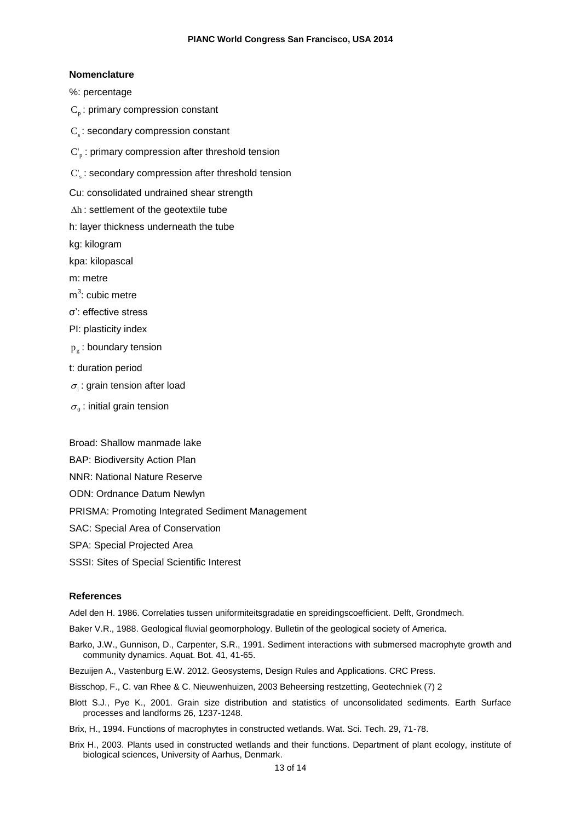#### **Nomenclature**

%: percentage

- $\mathrm{C}_{_{\mathrm{p}}}$ : primary compression constant
- $\mathrm{C}_{\mathrm{s}}$ : secondary compression constant
- $\text{C}^\cdot_{\text{p}}$  : primary compression after threshold tension
- $C_s$ : secondary compression after threshold tension

Cu: consolidated undrained shear strength

- $\Delta h$  : settlement of the geotextile tube
- h: layer thickness underneath the tube

kg: kilogram

kpa: kilopascal

m: metre

- m<sup>3</sup>: cubic metre
- σ': effective stress
- PI: plasticity index
- $\bm{{\mathsf{p}}}_\text{g}$  : boundary tension
- t: duration period
- $\sigma_i$ : grain tension after load
- $\sigma_{\scriptscriptstyle 0}$  : initial grain tension

Broad: Shallow manmade lake

- BAP: Biodiversity Action Plan
- NNR: National Nature Reserve
- ODN: Ordnance Datum Newlyn
- PRISMA: Promoting Integrated Sediment Management
- SAC: Special Area of Conservation
- SPA: Special Projected Area
- SSSI: Sites of Special Scientific Interest

#### **References**

Adel den H. 1986. Correlaties tussen uniformiteitsgradatie en spreidingscoefficient. Delft, Grondmech.

Baker V.R., 1988. Geological fluvial geomorphology. Bulletin of the geological society of America.

- Barko, J.W., Gunnison, D., Carpenter, S.R., 1991. Sediment interactions with submersed macrophyte growth and community dynamics. Aquat. Bot. 41, 41-65.
- Bezuijen A., Vastenburg E.W. 2012. Geosystems, Design Rules and Applications. CRC Press.
- Bisschop, F., C. van Rhee & C. Nieuwenhuizen, 2003 Beheersing restzetting, Geotechniek (7) 2
- Blott S.J., Pye K., 2001. Grain size distribution and statistics of unconsolidated sediments. Earth Surface processes and landforms 26, 1237-1248.

Brix, H., 1994. Functions of macrophytes in constructed wetlands. Wat. Sci. Tech. 29, 71-78.

Brix H., 2003. Plants used in constructed wetlands and their functions. Department of plant ecology, institute of biological sciences, University of Aarhus, Denmark.